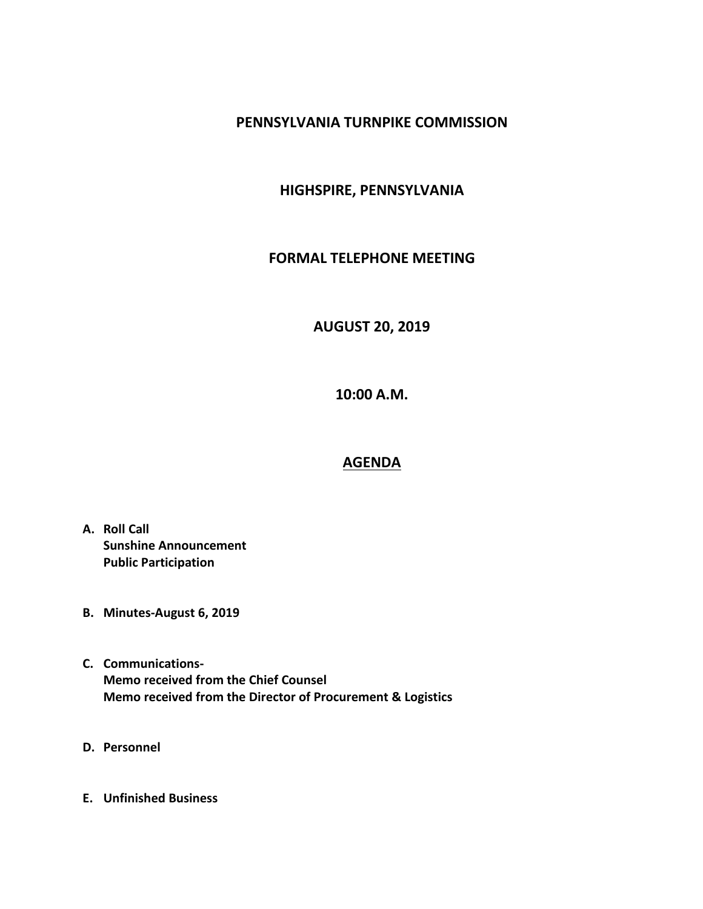#### **PENNSYLVANIA TURNPIKE COMMISSION**

### **HIGHSPIRE, PENNSYLVANIA**

#### **FORMAL TELEPHONE MEETING**

# **AUGUST 20, 2019**

**10:00 A.M.**

## **AGENDA**

- **A. Roll Call Sunshine Announcement Public Participation**
- **B. Minutes-August 6, 2019**
- **C. Communications-Memo received from the Chief Counsel Memo received from the Director of Procurement & Logistics**
- **D. Personnel**
- **E. Unfinished Business**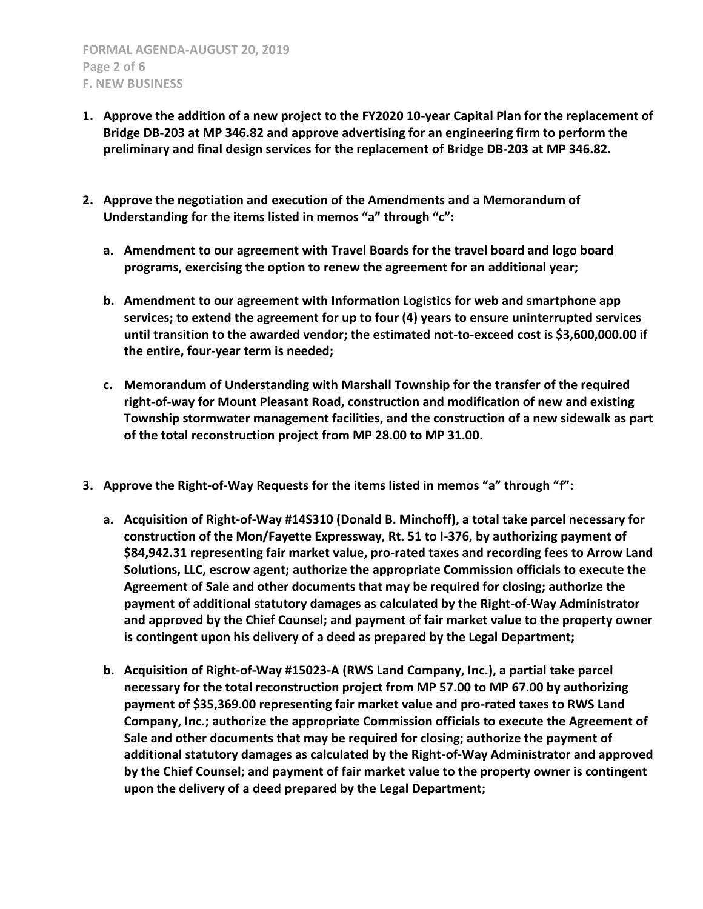- **1. Approve the addition of a new project to the FY2020 10-year Capital Plan for the replacement of Bridge DB-203 at MP 346.82 and approve advertising for an engineering firm to perform the preliminary and final design services for the replacement of Bridge DB-203 at MP 346.82.**
- **2. Approve the negotiation and execution of the Amendments and a Memorandum of Understanding for the items listed in memos "a" through "c":**
	- **a. Amendment to our agreement with Travel Boards for the travel board and logo board programs, exercising the option to renew the agreement for an additional year;**
	- **b. Amendment to our agreement with Information Logistics for web and smartphone app services; to extend the agreement for up to four (4) years to ensure uninterrupted services until transition to the awarded vendor; the estimated not-to-exceed cost is \$3,600,000.00 if the entire, four-year term is needed;**
	- **c. Memorandum of Understanding with Marshall Township for the transfer of the required right-of-way for Mount Pleasant Road, construction and modification of new and existing Township stormwater management facilities, and the construction of a new sidewalk as part of the total reconstruction project from MP 28.00 to MP 31.00.**
- **3. Approve the Right-of-Way Requests for the items listed in memos "a" through "f":**
	- **a. Acquisition of Right-of-Way #14S310 (Donald B. Minchoff), a total take parcel necessary for construction of the Mon/Fayette Expressway, Rt. 51 to I-376, by authorizing payment of \$84,942.31 representing fair market value, pro-rated taxes and recording fees to Arrow Land Solutions, LLC, escrow agent; authorize the appropriate Commission officials to execute the Agreement of Sale and other documents that may be required for closing; authorize the payment of additional statutory damages as calculated by the Right-of-Way Administrator and approved by the Chief Counsel; and payment of fair market value to the property owner is contingent upon his delivery of a deed as prepared by the Legal Department;**
	- **b. Acquisition of Right-of-Way #15023-A (RWS Land Company, Inc.), a partial take parcel necessary for the total reconstruction project from MP 57.00 to MP 67.00 by authorizing payment of \$35,369.00 representing fair market value and pro-rated taxes to RWS Land Company, Inc.; authorize the appropriate Commission officials to execute the Agreement of Sale and other documents that may be required for closing; authorize the payment of additional statutory damages as calculated by the Right-of-Way Administrator and approved by the Chief Counsel; and payment of fair market value to the property owner is contingent upon the delivery of a deed prepared by the Legal Department;**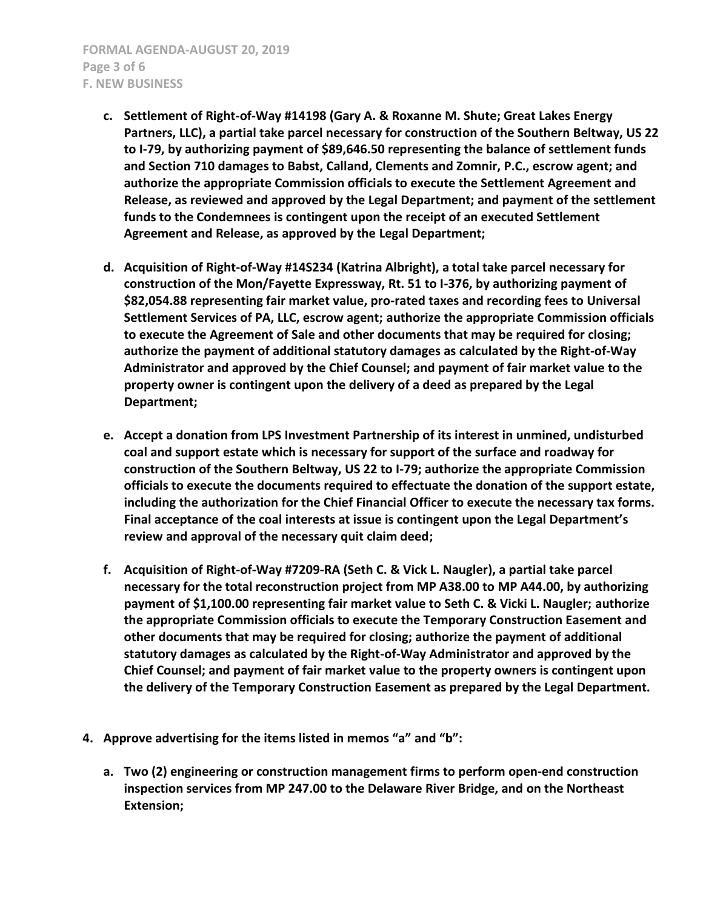- **c. Settlement of Right-of-Way #14198 (Gary A. & Roxanne M. Shute; Great Lakes Energy Partners, LLC), a partial take parcel necessary for construction of the Southern Beltway, US 22 to I-79, by authorizing payment of \$89,646.50 representing the balance of settlement funds and Section 710 damages to Babst, Calland, Clements and Zomnir, P.C., escrow agent; and authorize the appropriate Commission officials to execute the Settlement Agreement and Release, as reviewed and approved by the Legal Department; and payment of the settlement funds to the Condemnees is contingent upon the receipt of an executed Settlement Agreement and Release, as approved by the Legal Department;**
- **d. Acquisition of Right-of-Way #14S234 (Katrina Albright), a total take parcel necessary for construction of the Mon/Fayette Expressway, Rt. 51 to I-376, by authorizing payment of \$82,054.88 representing fair market value, pro-rated taxes and recording fees to Universal Settlement Services of PA, LLC, escrow agent; authorize the appropriate Commission officials to execute the Agreement of Sale and other documents that may be required for closing; authorize the payment of additional statutory damages as calculated by the Right-of-Way Administrator and approved by the Chief Counsel; and payment of fair market value to the property owner is contingent upon the delivery of a deed as prepared by the Legal Department;**
- **e. Accept a donation from LPS Investment Partnership of its interest in unmined, undisturbed coal and support estate which is necessary for support of the surface and roadway for construction of the Southern Beltway, US 22 to I-79; authorize the appropriate Commission officials to execute the documents required to effectuate the donation of the support estate, including the authorization for the Chief Financial Officer to execute the necessary tax forms. Final acceptance of the coal interests at issue is contingent upon the Legal Department's review and approval of the necessary quit claim deed;**
- **f. Acquisition of Right-of-Way #7209-RA (Seth C. & Vick L. Naugler), a partial take parcel necessary for the total reconstruction project from MP A38.00 to MP A44.00, by authorizing payment of \$1,100.00 representing fair market value to Seth C. & Vicki L. Naugler; authorize the appropriate Commission officials to execute the Temporary Construction Easement and other documents that may be required for closing; authorize the payment of additional statutory damages as calculated by the Right-of-Way Administrator and approved by the Chief Counsel; and payment of fair market value to the property owners is contingent upon the delivery of the Temporary Construction Easement as prepared by the Legal Department.**
- **4. Approve advertising for the items listed in memos "a" and "b":**
	- **a. Two (2) engineering or construction management firms to perform open-end construction inspection services from MP 247.00 to the Delaware River Bridge, and on the Northeast Extension;**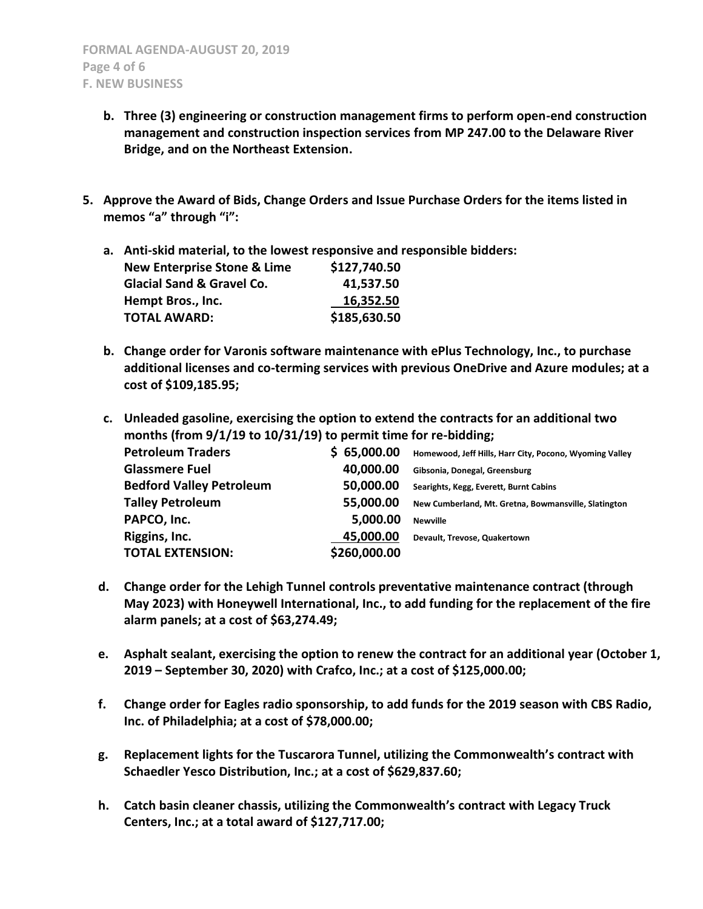- **b. Three (3) engineering or construction management firms to perform open-end construction management and construction inspection services from MP 247.00 to the Delaware River Bridge, and on the Northeast Extension.**
- **5. Approve the Award of Bids, Change Orders and Issue Purchase Orders for the items listed in memos "a" through "i":**

**a. Anti-skid material, to the lowest responsive and responsible bidders: New Enterprise Stone & Lime \$127,740.50 Glacial Sand & Gravel Co. 41,537.50 Hempt Bros., Inc.** 16,352.50 **TOTAL AWARD: \$185,630.50**

- **b. Change order for Varonis software maintenance with ePlus Technology, Inc., to purchase additional licenses and co-terming services with previous OneDrive and Azure modules; at a cost of \$109,185.95;**
- **c. Unleaded gasoline, exercising the option to extend the contracts for an additional two months (from 9/1/19 to 10/31/19) to permit time for re-bidding; Petroleum Traders \$ 65,000.00 Homewood, Jeff Hills, Harr City, Pocono, Wyoming Valley Glassmere Fuel 40,000.00 Gibsonia, Donegal, Greensburg Bedford Valley Petroleum 50,000.00 Searights, Kegg, Everett, Burnt Cabins Talley Petroleum 55,000.00 New Cumberland, Mt. Gretna, Bowmansville, Slatington PAPCO, Inc. 5,000.00 Newville Riggins, Inc. 45,000.00 Devault, Trevose, Quakertown TOTAL EXTENSION: \$260,000.00**
- **d. Change order for the Lehigh Tunnel controls preventative maintenance contract (through May 2023) with Honeywell International, Inc., to add funding for the replacement of the fire alarm panels; at a cost of \$63,274.49;**
- **e. Asphalt sealant, exercising the option to renew the contract for an additional year (October 1, 2019 – September 30, 2020) with Crafco, Inc.; at a cost of \$125,000.00;**
- **f. Change order for Eagles radio sponsorship, to add funds for the 2019 season with CBS Radio, Inc. of Philadelphia; at a cost of \$78,000.00;**
- **g. Replacement lights for the Tuscarora Tunnel, utilizing the Commonwealth's contract with Schaedler Yesco Distribution, Inc.; at a cost of \$629,837.60;**
- **h. Catch basin cleaner chassis, utilizing the Commonwealth's contract with Legacy Truck Centers, Inc.; at a total award of \$127,717.00;**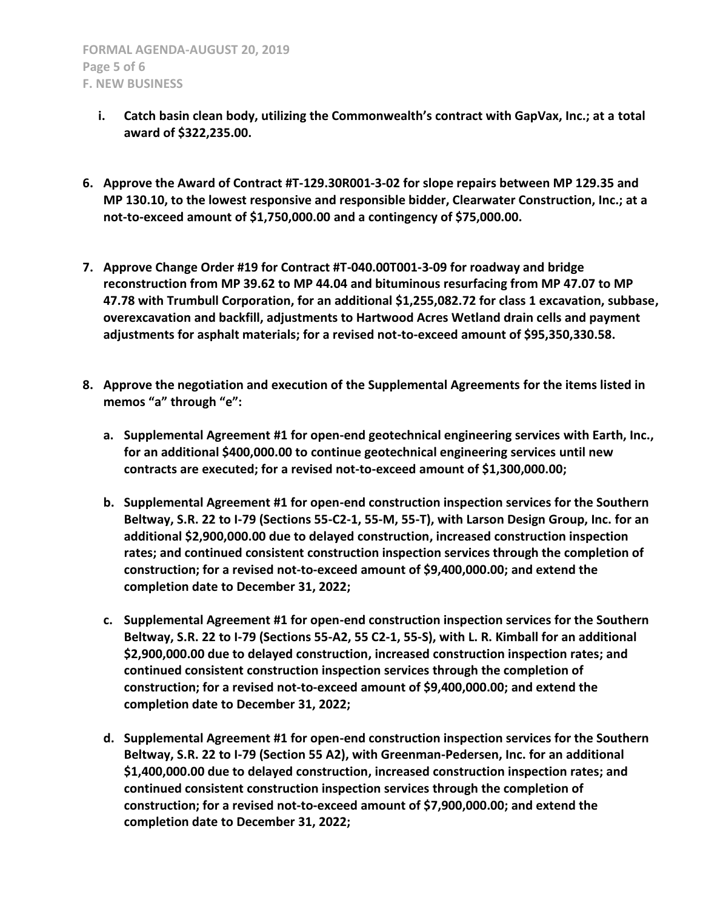- **i. Catch basin clean body, utilizing the Commonwealth's contract with GapVax, Inc.; at a total award of \$322,235.00.**
- **6. Approve the Award of Contract #T-129.30R001-3-02 for slope repairs between MP 129.35 and MP 130.10, to the lowest responsive and responsible bidder, Clearwater Construction, Inc.; at a not-to-exceed amount of \$1,750,000.00 and a contingency of \$75,000.00.**
- **7. Approve Change Order #19 for Contract #T-040.00T001-3-09 for roadway and bridge reconstruction from MP 39.62 to MP 44.04 and bituminous resurfacing from MP 47.07 to MP 47.78 with Trumbull Corporation, for an additional \$1,255,082.72 for class 1 excavation, subbase, overexcavation and backfill, adjustments to Hartwood Acres Wetland drain cells and payment adjustments for asphalt materials; for a revised not-to-exceed amount of \$95,350,330.58.**
- **8. Approve the negotiation and execution of the Supplemental Agreements for the items listed in memos "a" through "e":**
	- **a. Supplemental Agreement #1 for open-end geotechnical engineering services with Earth, Inc., for an additional \$400,000.00 to continue geotechnical engineering services until new contracts are executed; for a revised not-to-exceed amount of \$1,300,000.00;**
	- **b. Supplemental Agreement #1 for open-end construction inspection services for the Southern Beltway, S.R. 22 to I-79 (Sections 55-C2-1, 55-M, 55-T), with Larson Design Group, Inc. for an additional \$2,900,000.00 due to delayed construction, increased construction inspection rates; and continued consistent construction inspection services through the completion of construction; for a revised not-to-exceed amount of \$9,400,000.00; and extend the completion date to December 31, 2022;**
	- **c. Supplemental Agreement #1 for open-end construction inspection services for the Southern Beltway, S.R. 22 to I-79 (Sections 55-A2, 55 C2-1, 55-S), with L. R. Kimball for an additional \$2,900,000.00 due to delayed construction, increased construction inspection rates; and continued consistent construction inspection services through the completion of construction; for a revised not-to-exceed amount of \$9,400,000.00; and extend the completion date to December 31, 2022;**
	- **d. Supplemental Agreement #1 for open-end construction inspection services for the Southern Beltway, S.R. 22 to I-79 (Section 55 A2), with Greenman-Pedersen, Inc. for an additional \$1,400,000.00 due to delayed construction, increased construction inspection rates; and continued consistent construction inspection services through the completion of construction; for a revised not-to-exceed amount of \$7,900,000.00; and extend the completion date to December 31, 2022;**